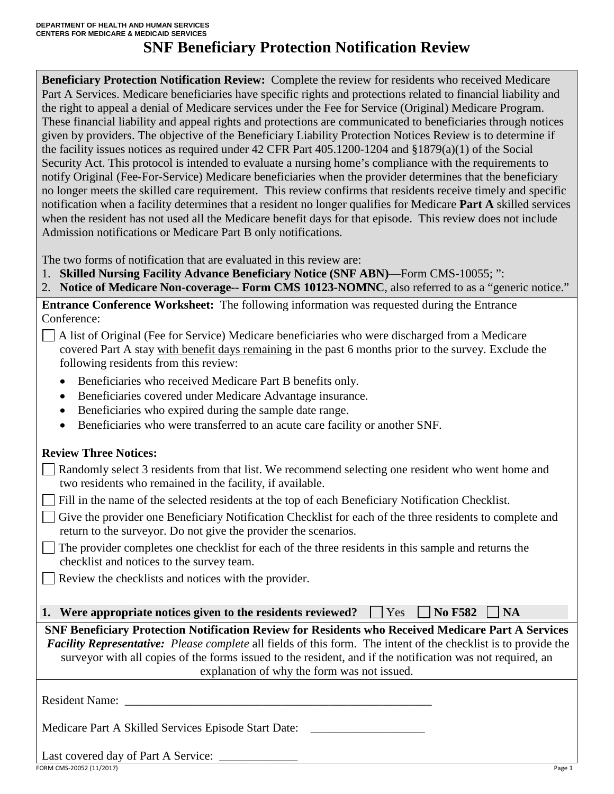## **SNF Beneficiary Protection Notification Review**

**Beneficiary Protection Notification Review:** Complete the review for residents who received Medicare Part A Services. Medicare beneficiaries have specific rights and protections related to financial liability and the right to appeal a denial of Medicare services under the Fee for Service (Original) Medicare Program. These financial liability and appeal rights and protections are communicated to beneficiaries through notices given by providers. The objective of the Beneficiary Liability Protection Notices Review is to determine if the facility issues notices as required under 42 CFR Part 405.1200-1204 and §1879(a)(1) of the Social Security Act. This protocol is intended to evaluate a nursing home's compliance with the requirements to notify Original (Fee-For-Service) Medicare beneficiaries when the provider determines that the beneficiary no longer meets the skilled care requirement. This review confirms that residents receive timely and specific notification when a facility determines that a resident no longer qualifies for Medicare **Part A** skilled services when the resident has not used all the Medicare benefit days for that episode. This review does not include Admission notifications or Medicare Part B only notifications.

The two forms of notification that are evaluated in this review are:

- 1. **Skilled Nursing Facility Advance Beneficiary Notice (SNF ABN)**—Form CMS-10055; ":
- 2. **Notice of Medicare Non-coverage-- Form CMS 10123-NOMNC**, also referred to as a "generic notice."

**Entrance Conference Worksheet:** The following information was requested during the Entrance Conference:

- A list of Original (Fee for Service) Medicare beneficiaries who were discharged from a Medicare covered Part A stay with benefit days remaining in the past 6 months prior to the survey. Exclude the following residents from this review:
	- Beneficiaries who received Medicare Part B benefits only.
	- Beneficiaries covered under Medicare Advantage insurance.
	- Beneficiaries who expired during the sample date range.
	- Beneficiaries who were transferred to an acute care facility or another SNF.

## **Review Three Notices:**

|                                                           | Randomly select 3 residents from that list. We recommend selecting one resident who went home and |
|-----------------------------------------------------------|---------------------------------------------------------------------------------------------------|
| two residents who remained in the facility, if available. |                                                                                                   |

- Fill in the name of the selected residents at the top of each Beneficiary Notification Checklist.
- Give the provider one Beneficiary Notification Checklist for each of the three residents to complete and return to the surveyor. Do not give the provider the scenarios.
- The provider completes one checklist for each of the three residents in this sample and returns the checklist and notices to the survey team.
- Review the checklists and notices with the provider.

**1.** Were appropriate notices given to the residents reviewed?  $\Box$  Yes  $\Box$  No F582  $\Box$  NA

**SNF Beneficiary Protection Notification Review for Residents who Received Medicare Part A Services** *Facility Representative: Please complete* all fields of this form. The intent of the checklist is to provide the surveyor with all copies of the forms issued to the resident, and if the notification was not required, an explanation of why the form was not issued.

Resident Name:

Medicare Part A Skilled Services Episode Start Date:

Last covered day of Part A Service: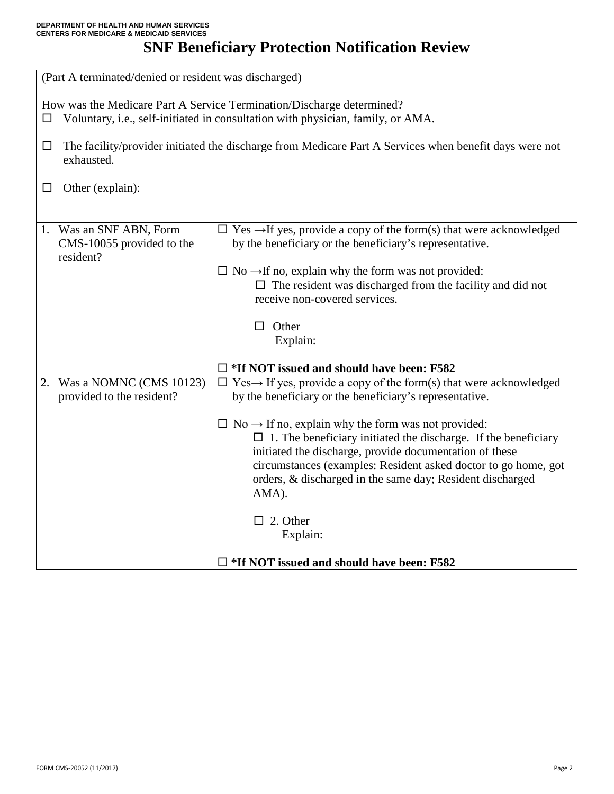## **SNF Beneficiary Protection Notification Review**

| (Part A terminated/denied or resident was discharged)             |                                                                                                                                                                                                                                                                                                                                                   |
|-------------------------------------------------------------------|---------------------------------------------------------------------------------------------------------------------------------------------------------------------------------------------------------------------------------------------------------------------------------------------------------------------------------------------------|
| $\Box$                                                            | How was the Medicare Part A Service Termination/Discharge determined?<br>Voluntary, i.e., self-initiated in consultation with physician, family, or AMA.                                                                                                                                                                                          |
| □<br>exhausted.                                                   | The facility/provider initiated the discharge from Medicare Part A Services when benefit days were not                                                                                                                                                                                                                                            |
| Other (explain):<br>ப                                             |                                                                                                                                                                                                                                                                                                                                                   |
| 1. Was an SNF ABN, Form<br>CMS-10055 provided to the<br>resident? | $\Box$ Yes $\rightarrow$ If yes, provide a copy of the form(s) that were acknowledged<br>by the beneficiary or the beneficiary's representative.                                                                                                                                                                                                  |
|                                                                   | $\Box$ No $\rightarrow$ If no, explain why the form was not provided:<br>$\Box$ The resident was discharged from the facility and did not<br>receive non-covered services.                                                                                                                                                                        |
|                                                                   | $\Box$ Other<br>Explain:                                                                                                                                                                                                                                                                                                                          |
|                                                                   | $\square$ *If NOT issued and should have been: F582                                                                                                                                                                                                                                                                                               |
| Was a NOMNC (CMS 10123)<br>2.<br>provided to the resident?        | $\Box$ Yes $\rightarrow$ If yes, provide a copy of the form(s) that were acknowledged<br>by the beneficiary or the beneficiary's representative.                                                                                                                                                                                                  |
|                                                                   | $\Box$ No $\rightarrow$ If no, explain why the form was not provided:<br>$\Box$ 1. The beneficiary initiated the discharge. If the beneficiary<br>initiated the discharge, provide documentation of these<br>circumstances (examples: Resident asked doctor to go home, got<br>orders, & discharged in the same day; Resident discharged<br>AMA). |
|                                                                   | 2. Other<br>П<br>Explain:                                                                                                                                                                                                                                                                                                                         |
|                                                                   | $\square$ *If NOT issued and should have been: F582                                                                                                                                                                                                                                                                                               |